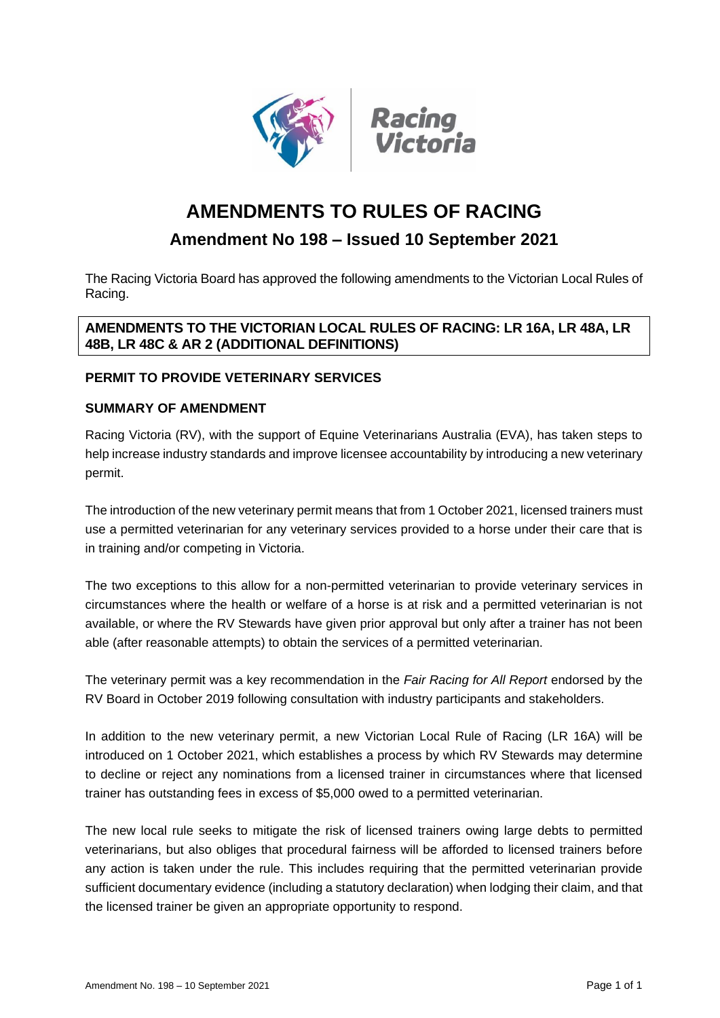



# **AMENDMENTS TO RULES OF RACING**

## **Amendment No 198 – Issued 10 September 2021**

The Racing Victoria Board has approved the following amendments to the Victorian Local Rules of Racing.

## **AMENDMENTS TO THE VICTORIAN LOCAL RULES OF RACING: LR 16A, LR 48A, LR 48B, LR 48C & AR 2 (ADDITIONAL DEFINITIONS)**

## **PERMIT TO PROVIDE VETERINARY SERVICES**

## **SUMMARY OF AMENDMENT**

Racing Victoria (RV), with the support of Equine Veterinarians Australia (EVA), has taken steps to help increase industry standards and improve licensee accountability by introducing a new veterinary permit.

The introduction of the new veterinary permit means that from 1 October 2021, licensed trainers must use a permitted veterinarian for any veterinary services provided to a horse under their care that is in training and/or competing in Victoria.

The two exceptions to this allow for a non-permitted veterinarian to provide veterinary services in circumstances where the health or welfare of a horse is at risk and a permitted veterinarian is not available, or where the RV Stewards have given prior approval but only after a trainer has not been able (after reasonable attempts) to obtain the services of a permitted veterinarian.

The veterinary permit was a key recommendation in the *[Fair Racing for All Report](https://protect-au.mimecast.com/s/l_thCGv0ZEfJWEBQhKp17e?domain=racingvictoria.cmail19.com)* endorsed by the RV Board in October 2019 following consultation with industry participants and stakeholders.

In addition to the new veterinary permit, a new Victorian Local Rule of Racing (LR 16A) will be introduced on 1 October 2021, which establishes a process by which RV Stewards may determine to decline or reject any nominations from a licensed trainer in circumstances where that licensed trainer has outstanding fees in excess of \$5,000 owed to a permitted veterinarian.

The new local rule seeks to mitigate the risk of licensed trainers owing large debts to permitted veterinarians, but also obliges that procedural fairness will be afforded to licensed trainers before any action is taken under the rule. This includes requiring that the permitted veterinarian provide sufficient documentary evidence (including a statutory declaration) when lodging their claim, and that the licensed trainer be given an appropriate opportunity to respond.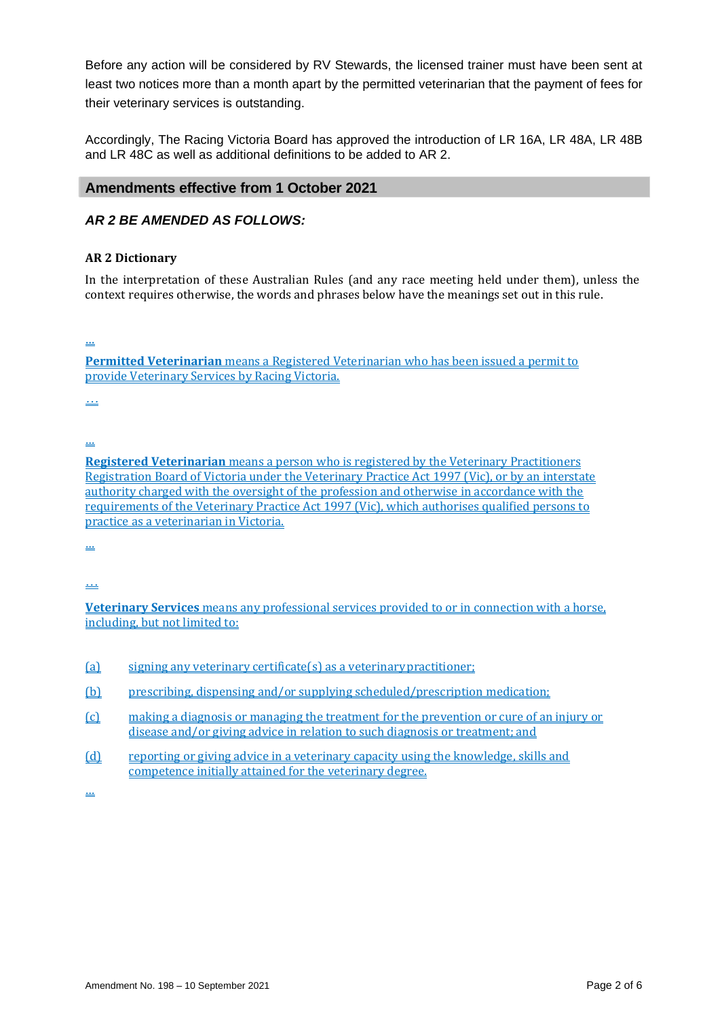Before any action will be considered by RV Stewards, the licensed trainer must have been sent at least two notices more than a month apart by the permitted veterinarian that the payment of fees for their veterinary services is outstanding.

Accordingly, The Racing Victoria Board has approved the introduction of LR 16A, LR 48A, LR 48B and LR 48C as well as additional definitions to be added to AR 2.

#### **Amendments effective from 1 October 2021**

#### *AR 2 BE AMENDED AS FOLLOWS:*

#### **AR 2 Dictionary**

In the interpretation of these Australian Rules (and any race meeting held under them), unless the context requires otherwise, the words and phrases below have the meanings set out in this rule.

…

**Permitted Veterinarian** means a Registered Veterinarian who has been issued a permit to provide Veterinary Services by Racing Victoria.

*…*

…

**Registered Veterinarian** means a person who is registered by the Veterinary Practitioners Registration Board of Victoria under the Veterinary Practice Act 1997 (Vic), or by an interstate authority charged with the oversight of the profession and otherwise in accordance with the requirements of the Veterinary Practice Act 1997 (Vic), which authorises qualified persons to practice as a veterinarian in Victoria.

…

…

**Veterinary Services** means any professional services provided to or in connection with a horse, including, but not limited to:

- (a) signing any veterinary certificate(s) as a veterinarypractitioner;
- (b) prescribing, dispensing and/or supplying scheduled/prescription medication;
- (c) making a diagnosis or managing the treatment for the prevention or cure of an injury or disease and/or giving advice in relation to such diagnosis or treatment; and
- (d) reporting or giving advice in a veterinary capacity using the knowledge, skills and competence initially attained for the veterinary degree.

…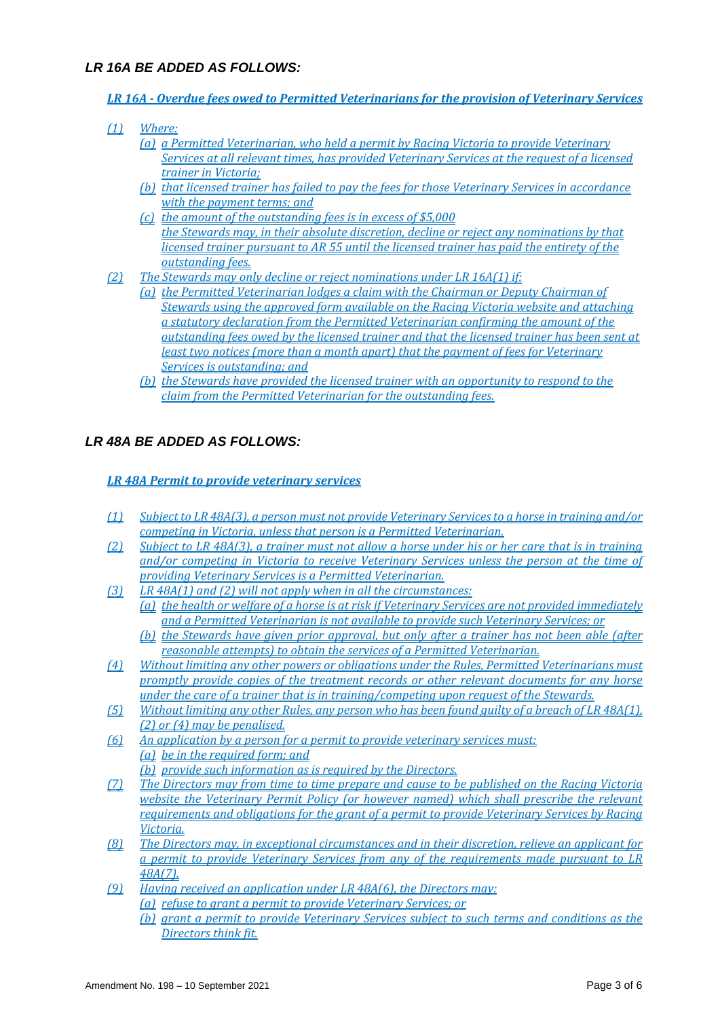## *LR 16A BE ADDED AS FOLLOWS:*

- *LR 16A - Overdue fees owed to Permitted Veterinarians for the provision of Veterinary Services*
- *(1) Where:*
	- *(a) a Permitted Veterinarian, who held a permit by Racing Victoria to provide Veterinary Services at all relevant times, has provided Veterinary Services at the request of a licensed trainer in Victoria;*
	- *(b) that licensed trainer has failed to pay the fees for those Veterinary Services in accordance with the payment terms; and*
	- *(c) the amount of the outstanding fees is in excess of \$5,000 the Stewards may, in their absolute discretion, decline or reject any nominations by that licensed trainer pursuant to AR 55 until the licensed trainer has paid the entirety of the outstanding fees.*
- *(2) The Stewards may only decline or reject nominations under LR 16A(1) if:* 
	- *(a) the Permitted Veterinarian lodges a claim with the Chairman or Deputy Chairman of Stewards using the approved form available on the Racing Victoria website and attaching a statutory declaration from the Permitted Veterinarian confirming the amount of the outstanding fees owed by the licensed trainer and that the licensed trainer has been sent at least two notices (more than a month apart) that the payment of fees for Veterinary Services is outstanding; and*
	- *(b) the Stewards have provided the licensed trainer with an opportunity to respond to the claim from the Permitted Veterinarian for the outstanding fees.*

## *LR 48A BE ADDED AS FOLLOWS:*

#### *LR 48A Permit to provide veterinary services*

- *(1) Subject to LR 48A(3), a person must not provide Veterinary Services to a horse in training and/or competing in Victoria, unless that person is a Permitted Veterinarian.*
- *(2) Subject to LR 48A(3), a trainer must not allow a horse under his or her care that is in training and/or competing in Victoria to receive Veterinary Services unless the person at the time of providing Veterinary Services is a Permitted Veterinarian.*
- *(3) LR 48A(1) and (2) will not apply when in all the circumstances: (a) the health or welfare of a horse is at risk if Veterinary Services are not provided immediately and a Permitted Veterinarian is not available to provide such Veterinary Services; or*
	- *(b) the Stewards have given prior approval, but only after a trainer has not been able (after reasonable attempts) to obtain the services of a Permitted Veterinarian.*
- *(4) Without limiting any other powers or obligations under the Rules, Permitted Veterinarians must promptly provide copies of the treatment records or other relevant documents for any horse under the care of a trainer that is in training/competing upon request of the Stewards.*
- *(5) Without limiting any other Rules, any person who has been found guilty of a breach of LR 48A(1), (2) or (4) may be penalised.*
- *(6) An application by a person for a permit to provide veterinary services must: (a) be in the required form; and*
	- *(b) provide such information as is required by the Directors.*
- *(7) The Directors may from time to time prepare and cause to be published on the Racing Victoria website the Veterinary Permit Policy (or however named) which shall prescribe the relevant requirements and obligations for the grant of a permit to provide Veterinary Services by Racing Victoria.*
- *(8) The Directors may, in exceptional circumstances and in their discretion, relieve an applicant for a permit to provide Veterinary Services from any of the requirements made pursuant to LR 48A(7).*
- *(9) Having received an application under LR 48A(6), the Directors may: (a) refuse to grant a permit to provide Veterinary Services; or*
	- *(b) grant a permit to provide Veterinary Services subject to such terms and conditions as the Directors think fit.*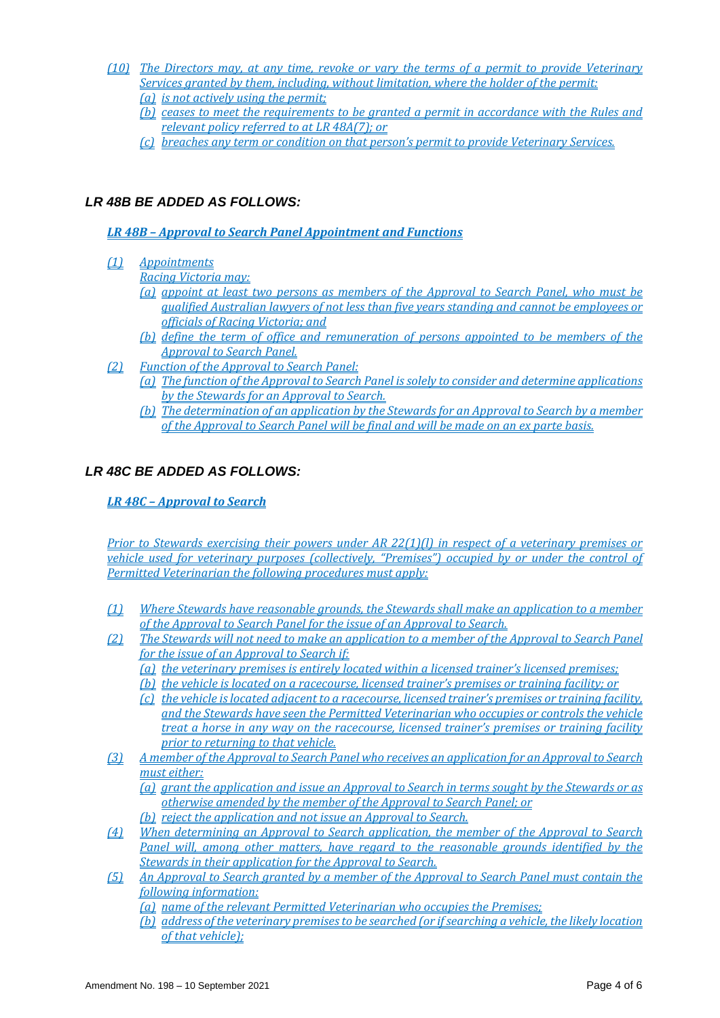- *(10) The Directors may, at any time, revoke or vary the terms of a permit to provide Veterinary Services granted by them, including, without limitation, where the holder of the permit: (a) is not actively using the permit;* 
	- *(b) ceases to meet the requirements to be granted a permit in accordance with the Rules and relevant policy referred to at LR 48A(7); or*
	- *(c) breaches any term or condition on that person's permit to provide Veterinary Services.*

## *LR 48B BE ADDED AS FOLLOWS:*

*LR 48B – Approval to Search Panel Appointment and Functions*

*(1) Appointments* 

*Racing Victoria may:* 

- *(a) appoint at least two persons as members of the Approval to Search Panel, who must be qualified Australian lawyers of not less than five years standing and cannot be employees or officials of Racing Victoria; and*
- *(b) define the term of office and remuneration of persons appointed to be members of the Approval to Search Panel.*
- *(2) Function of the Approval to Search Panel:* 
	- *(a) The function of the Approval to Search Panel is solely to consider and determine applications by the Stewards for an Approval to Search.*
	- *(b) The determination of an application by the Stewards for an Approval to Search by a member of the Approval to Search Panel will be final and will be made on an ex parte basis.*

## *LR 48C BE ADDED AS FOLLOWS:*

*LR 48C – Approval to Search*

*Prior to Stewards exercising their powers under AR 22(1)(l) in respect of a veterinary premises or vehicle used for veterinary purposes (collectively, "Premises") occupied by or under the control of Permitted Veterinarian the following procedures must apply:*

- *(1) Where Stewards have reasonable grounds, the Stewards shall make an application to a member of the Approval to Search Panel for the issue of an Approval to Search.*
- *(2) The Stewards will not need to make an application to a member of the Approval to Search Panel for the issue of an Approval to Search if:*
	- *(a) the veterinary premises is entirely located within a licensed trainer's licensed premises;*
	- *(b) the vehicle is located on a racecourse, licensed trainer's premises or training facility; or*
	- *(c) the vehicle is located adjacent to a racecourse, licensed trainer's premises or training facility, and the Stewards have seen the Permitted Veterinarian who occupies or controls the vehicle treat a horse in any way on the racecourse, licensed trainer's premises or training facility prior to returning to that vehicle.*
- *(3) A member of the Approval to Search Panel who receives an application for an Approval to Search must either:*
	- *(a) grant the application and issue an Approval to Search in terms sought by the Stewards or as otherwise amended by the member of the Approval to Search Panel; or*
	- *(b) reject the application and not issue an Approval to Search.*
- *(4) When determining an Approval to Search application, the member of the Approval to Search Panel will, among other matters, have regard to the reasonable grounds identified by the Stewards in their application for the Approval to Search.*
- *(5) An Approval to Search granted by a member of the Approval to Search Panel must contain the following information:*

*(a) name of the relevant Permitted Veterinarian who occupies the Premises;*

*(b) address of the veterinary premises to be searched (or if searching a vehicle, the likely location of that vehicle);*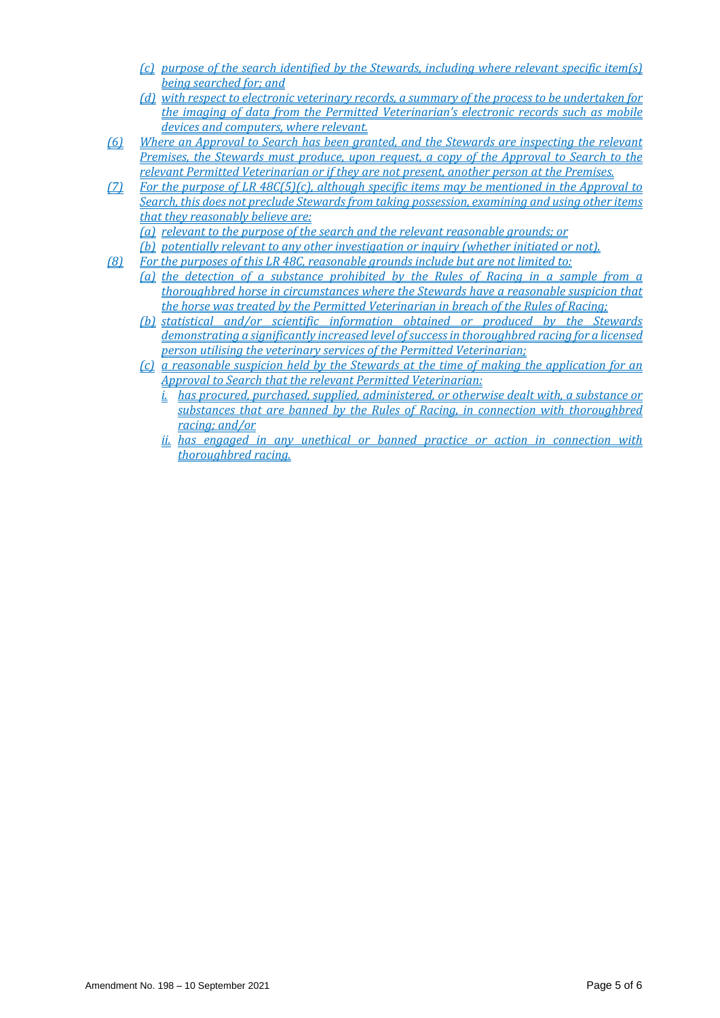- *(c) purpose of the search identified by the Stewards, including where relevant specific item(s) being searched for; and*
- *(d) with respect to electronic veterinary records, a summary of the process to be undertaken for the imaging of data from the Permitted Veterinarian's electronic records such as mobile devices and computers, where relevant.*
- *(6) Where an Approval to Search has been granted, and the Stewards are inspecting the relevant Premises, the Stewards must produce, upon request, a copy of the Approval to Search to the relevant Permitted Veterinarian or if they are not present, another person at the Premises.*
- *(7) For the purpose of LR 48C(5)(c), although specific items may be mentioned in the Approval to Search, this does not preclude Stewards from taking possession, examining and using other items that they reasonably believe are:*
	- *(a) relevant to the purpose of the search and the relevant reasonable grounds; or*
	- *(b) potentially relevant to any other investigation or inquiry (whether initiated or not).*
- *(8) For the purposes of this LR 48C, reasonable grounds include but are not limited to:*
	- *(a) the detection of a substance prohibited by the Rules of Racing in a sample from a thoroughbred horse in circumstances where the Stewards have a reasonable suspicion that the horse was treated by the Permitted Veterinarian in breach of the Rules of Racing;*
	- *(b) statistical and/or scientific information obtained or produced by the Stewards demonstrating a significantly increased level of success in thoroughbred racing for a licensed person utilising the veterinary services of the Permitted Veterinarian;*
	- *(c) a reasonable suspicion held by the Stewards at the time of making the application for an Approval to Search that the relevant Permitted Veterinarian:*
		- *i. has procured, purchased, supplied, administered, or otherwise dealt with, a substance or substances that are banned by the Rules of Racing, in connection with thoroughbred racing; and/or*
		- *ii. has engaged in any unethical or banned practice or action in connection with thoroughbred racing.*